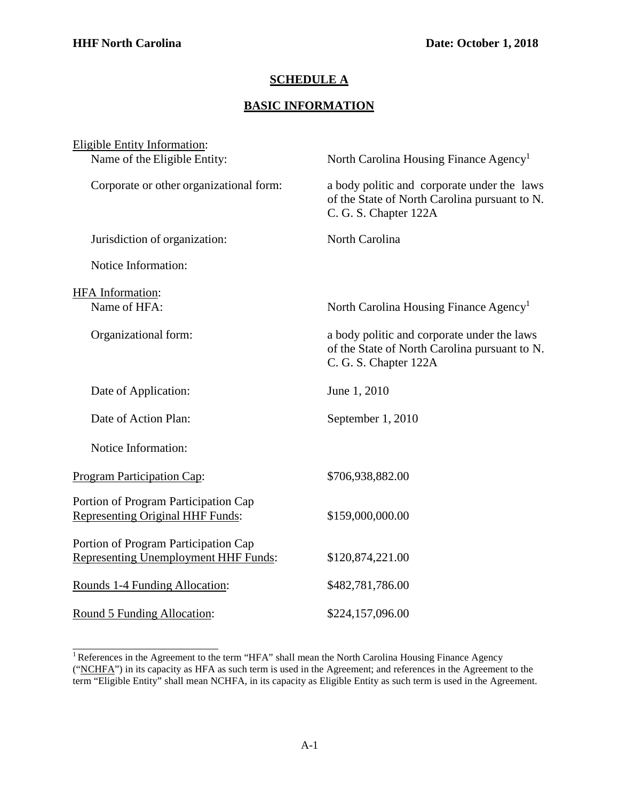## **SCHEDULE A**

## **BASIC INFORMATION**

| <b>Eligible Entity Information:</b>                                                 |                                                                                                                       |
|-------------------------------------------------------------------------------------|-----------------------------------------------------------------------------------------------------------------------|
| Name of the Eligible Entity:                                                        | North Carolina Housing Finance Agency <sup>1</sup>                                                                    |
| Corporate or other organizational form:                                             | a body politic and corporate under the laws<br>of the State of North Carolina pursuant to N.<br>C. G. S. Chapter 122A |
| Jurisdiction of organization:                                                       | North Carolina                                                                                                        |
| Notice Information:                                                                 |                                                                                                                       |
| HFA Information:                                                                    |                                                                                                                       |
| Name of HFA:                                                                        | North Carolina Housing Finance Agency <sup>1</sup>                                                                    |
| Organizational form:                                                                | a body politic and corporate under the laws<br>of the State of North Carolina pursuant to N.<br>C. G. S. Chapter 122A |
| Date of Application:                                                                | June 1, 2010                                                                                                          |
| Date of Action Plan:                                                                | September 1, 2010                                                                                                     |
| Notice Information:                                                                 |                                                                                                                       |
| Program Participation Cap:                                                          | \$706,938,882.00                                                                                                      |
| Portion of Program Participation Cap<br>Representing Original HHF Funds:            | \$159,000,000.00                                                                                                      |
| Portion of Program Participation Cap<br><b>Representing Unemployment HHF Funds:</b> | \$120,874,221.00                                                                                                      |
| Rounds 1-4 Funding Allocation:                                                      | \$482,781,786.00                                                                                                      |
| Round 5 Funding Allocation:                                                         | \$224,157,096.00                                                                                                      |

<span id="page-0-0"></span><sup>&</sup>lt;sup>1</sup> References in the Agreement to the term "HFA" shall mean the North Carolina Housing Finance Agency ("NCHFA") in its capacity as HFA as such term is used in the Agreement; and references in the Agreement to the term "Eligible Entity" shall mean NCHFA, in its capacity as Eligible Entity as such term is used in the Agreement.